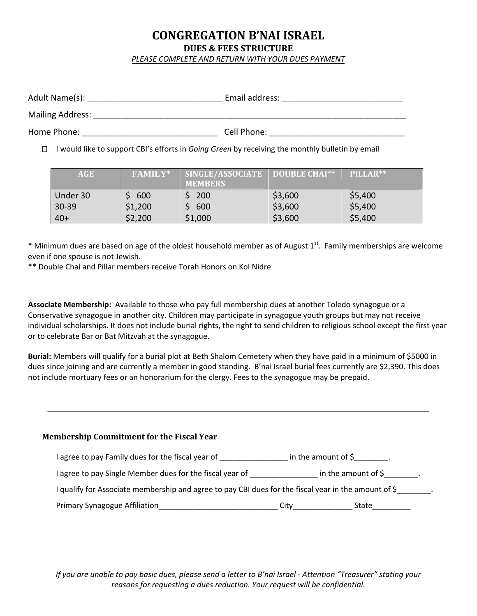# **CONGREGATION B'NAI ISRAEL DUES & FEES STRUCTURE**

*PLEASE COMPLETE AND RETURN WITH YOUR DUES PAYMENT*

| Adult Name(s):          | Email address: |
|-------------------------|----------------|
| <b>Mailing Address:</b> |                |
| Home Phone:             | Cell Phone:    |

I would like to support CBI's efforts in *Going Green* by receiving the monthly bulletin by email

| <b>AGE</b> | <b>FAMILY*</b> | SINGLE/ASSOCIATE<br><b>MEMBERS</b> | DOUBLE CHAI** | PILLAR** |
|------------|----------------|------------------------------------|---------------|----------|
| Under 30   | \$600          | \$200                              | \$3,600       | \$5,400  |
| $30 - 39$  | \$1,200        | \$600                              | \$3,600       | \$5,400  |
| $40+$      | \$2,200        | \$1,000                            | \$3,600       | \$5,400  |

 $*$  Minimum dues are based on age of the oldest household member as of August  $1<sup>st</sup>$ . Family memberships are welcome even if one spouse is not Jewish.

\*\* Double Chai and Pillar members receive Torah Honors on Kol Nidre

**Associate Membership:** Available to those who pay full membership dues at another Toledo synagogue or a Conservative synagogue in another city. Children may participate in synagogue youth groups but may not receive individual scholarships. It does not include burial rights, the right to send children to religious school except the first year or to celebrate Bar or Bat Mitzvah at the synagogue.

**Burial:** Members will qualify for a burial plot at Beth Shalom Cemetery when they have paid in a minimum of \$5000 in dues since joining and are currently a member in good standing. B'nai Israel burial fees currently are \$2,390. This does not include mortuary fees or an honorarium for the clergy. Fees to the synagogue may be prepaid.

\_\_\_\_\_\_\_\_\_\_\_\_\_\_\_\_\_\_\_\_\_\_\_\_\_\_\_\_\_\_\_\_\_\_\_\_\_\_\_\_\_\_\_\_\_\_\_\_\_\_\_\_\_\_\_\_\_\_\_\_\_\_\_\_\_\_\_\_\_\_\_\_\_\_\_\_\_\_\_\_

| <b>Membership Commitment for the Fiscal Year</b>                                                   |                 |                            |
|----------------------------------------------------------------------------------------------------|-----------------|----------------------------|
| agree to pay Family dues for the fiscal year of ________________________________                   |                 | in the amount of $\zeta$ . |
| agree to pay Single Member dues for the fiscal year of                                             |                 | in the amount of $\sin$ .  |
| gualify for Associate membership and agree to pay CBI dues for the fiscal year in the amount of \$ |                 |                            |
| <b>Primary Synagogue Affiliation</b>                                                               | City___________ | State                      |

*If you are unable to pay basic dues, please send a letter to B'nai Israel - Attention "Treasurer" stating your reasons for requesting a dues reduction. Your request will be confidential.*